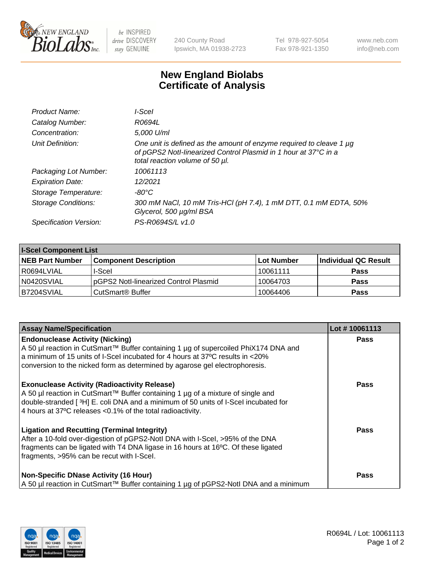

 $be$  INSPIRED drive DISCOVERY stay GENUINE

240 County Road Ipswich, MA 01938-2723 Tel 978-927-5054 Fax 978-921-1350 www.neb.com info@neb.com

## **New England Biolabs Certificate of Analysis**

| Product Name:              | I-Scel                                                                                                                                                                    |
|----------------------------|---------------------------------------------------------------------------------------------------------------------------------------------------------------------------|
| Catalog Number:            | R0694L                                                                                                                                                                    |
| Concentration:             | 5,000 U/ml                                                                                                                                                                |
| Unit Definition:           | One unit is defined as the amount of enzyme required to cleave 1 µg<br>of pGPS2 Notl-linearized Control Plasmid in 1 hour at 37°C in a<br>total reaction volume of 50 µl. |
| Packaging Lot Number:      | 10061113                                                                                                                                                                  |
| <b>Expiration Date:</b>    | 12/2021                                                                                                                                                                   |
| Storage Temperature:       | -80°C                                                                                                                                                                     |
| <b>Storage Conditions:</b> | 300 mM NaCl, 10 mM Tris-HCl (pH 7.4), 1 mM DTT, 0.1 mM EDTA, 50%<br>Glycerol, 500 µg/ml BSA                                                                               |
| Specification Version:     | PS-R0694S/L v1.0                                                                                                                                                          |
|                            |                                                                                                                                                                           |

| <b>I-Scel Component List</b> |                                        |              |                      |  |
|------------------------------|----------------------------------------|--------------|----------------------|--|
| <b>NEB Part Number</b>       | <b>Component Description</b>           | l Lot Number | Individual QC Result |  |
| R0694LVIAL                   | I-Scel                                 | 10061111     | <b>Pass</b>          |  |
| N0420SVIAL                   | IpGPS2 Notl-linearized Control Plasmid | 10064703     | <b>Pass</b>          |  |
| B7204SVIAL                   | CutSmart <sup>®</sup> Buffer           | 10064406     | <b>Pass</b>          |  |

| <b>Assay Name/Specification</b>                                                                                                                                                                                                                                                               | Lot #10061113 |
|-----------------------------------------------------------------------------------------------------------------------------------------------------------------------------------------------------------------------------------------------------------------------------------------------|---------------|
| <b>Endonuclease Activity (Nicking)</b><br>A 50 µl reaction in CutSmart™ Buffer containing 1 µg of supercoiled PhiX174 DNA and<br>a minimum of 15 units of I-Scel incubated for 4 hours at 37°C results in <20%<br>conversion to the nicked form as determined by agarose gel electrophoresis. | <b>Pass</b>   |
| <b>Exonuclease Activity (Radioactivity Release)</b><br>A 50 µl reaction in CutSmart™ Buffer containing 1 µg of a mixture of single and<br>double-stranded [3H] E. coli DNA and a minimum of 50 units of I-Scel incubated for<br>4 hours at 37°C releases < 0.1% of the total radioactivity.   | <b>Pass</b>   |
| <b>Ligation and Recutting (Terminal Integrity)</b><br>After a 10-fold over-digestion of pGPS2-Notl DNA with I-Scel, >95% of the DNA<br>fragments can be ligated with T4 DNA ligase in 16 hours at 16°C. Of these ligated<br>fragments, >95% can be recut with I-Scel.                         | <b>Pass</b>   |
| <b>Non-Specific DNase Activity (16 Hour)</b><br>  A 50 µl reaction in CutSmart™ Buffer containing 1 µg of pGPS2-NotI DNA and a minimum                                                                                                                                                        | <b>Pass</b>   |